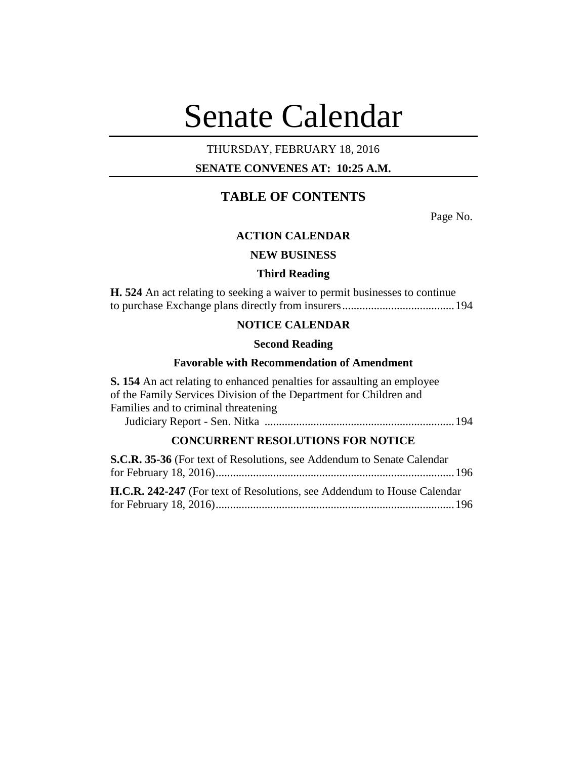# Senate Calendar

# THURSDAY, FEBRUARY 18, 2016

# **SENATE CONVENES AT: 10:25 A.M.**

# **TABLE OF CONTENTS**

Page No.

# **ACTION CALENDAR**

# **NEW BUSINESS**

# **Third Reading**

**H. 524** An act relating to seeking a waiver to permit businesses to continue to purchase Exchange plans directly from insurers.......................................194

# **NOTICE CALENDAR**

## **Second Reading**

## **Favorable with Recommendation of Amendment**

**S. 154** An act relating to enhanced penalties for assaulting an employee of the Family Services Division of the Department for Children and Families and to criminal threatening Judiciary Report - Sen. Nitka ..................................................................194

# **CONCURRENT RESOLUTIONS FOR NOTICE**

| <b>S.C.R. 35-36</b> (For text of Resolutions, see Addendum to Senate Calendar) |  |
|--------------------------------------------------------------------------------|--|
|                                                                                |  |
| <b>H.C.R. 242-247</b> (For text of Resolutions, see Addendum to House Calendar |  |
|                                                                                |  |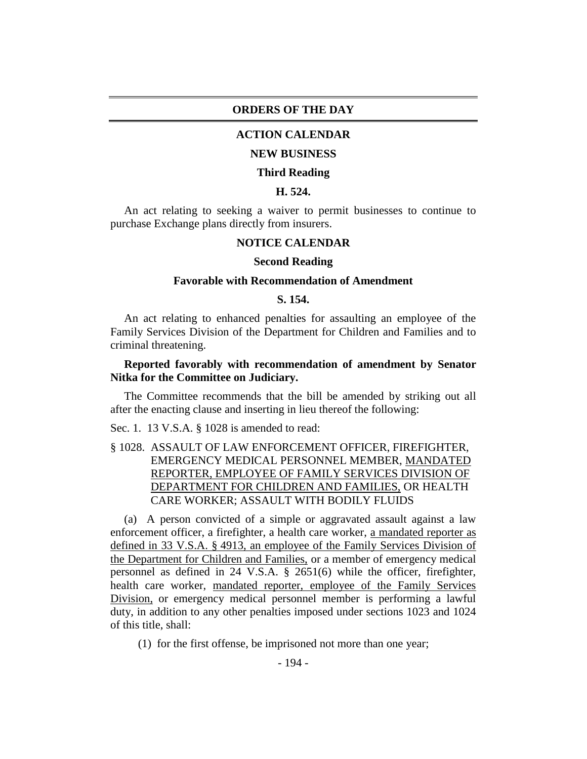## **ORDERS OF THE DAY**

# **ACTION CALENDAR**

#### **NEW BUSINESS**

#### **Third Reading**

# **H. 524.**

An act relating to seeking a waiver to permit businesses to continue to purchase Exchange plans directly from insurers.

## **NOTICE CALENDAR**

#### **Second Reading**

### **Favorable with Recommendation of Amendment**

## **S. 154.**

An act relating to enhanced penalties for assaulting an employee of the Family Services Division of the Department for Children and Families and to criminal threatening.

# **Reported favorably with recommendation of amendment by Senator Nitka for the Committee on Judiciary.**

The Committee recommends that the bill be amended by striking out all after the enacting clause and inserting in lieu thereof the following:

Sec. 1. 13 V.S.A. § 1028 is amended to read:

§ 1028. ASSAULT OF LAW ENFORCEMENT OFFICER, FIREFIGHTER, EMERGENCY MEDICAL PERSONNEL MEMBER, MANDATED REPORTER, EMPLOYEE OF FAMILY SERVICES DIVISION OF DEPARTMENT FOR CHILDREN AND FAMILIES, OR HEALTH CARE WORKER; ASSAULT WITH BODILY FLUIDS

(a) A person convicted of a simple or aggravated assault against a law enforcement officer, a firefighter, a health care worker, a mandated reporter as defined in 33 V.S.A. § 4913, an employee of the Family Services Division of the Department for Children and Families, or a member of emergency medical personnel as defined in 24 V.S.A. § 2651(6) while the officer, firefighter, health care worker, mandated reporter, employee of the Family Services Division, or emergency medical personnel member is performing a lawful duty, in addition to any other penalties imposed under sections 1023 and 1024 of this title, shall:

(1) for the first offense, be imprisoned not more than one year;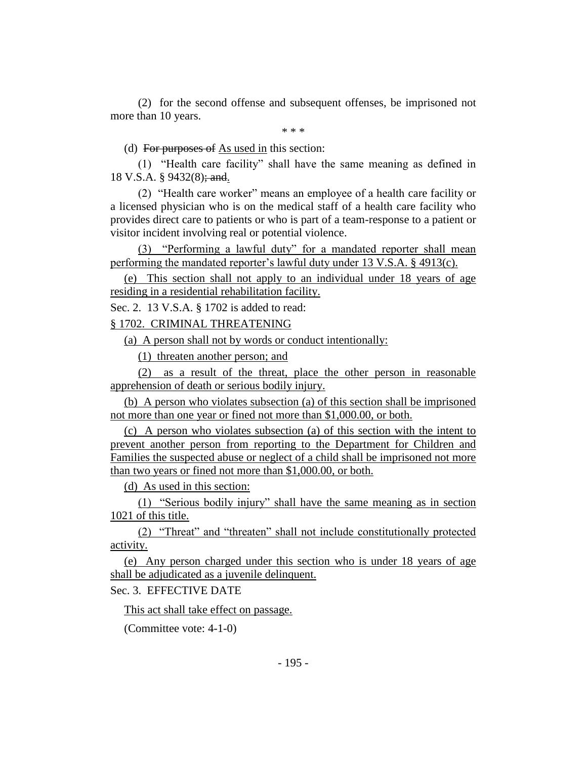(2) for the second offense and subsequent offenses, be imprisoned not more than 10 years.

\* \* \*

(d) For purposes of As used in this section:

(1) "Health care facility" shall have the same meaning as defined in 18 V.S.A. § 9432(8); and.

(2) "Health care worker" means an employee of a health care facility or a licensed physician who is on the medical staff of a health care facility who provides direct care to patients or who is part of a team-response to a patient or visitor incident involving real or potential violence.

(3) "Performing a lawful duty" for a mandated reporter shall mean performing the mandated reporter's lawful duty under 13 V.S.A. § 4913(c).

(e) This section shall not apply to an individual under 18 years of age residing in a residential rehabilitation facility.

Sec. 2. 13 V.S.A. § 1702 is added to read:

§ 1702. CRIMINAL THREATENING

(a) A person shall not by words or conduct intentionally:

(1) threaten another person; and

(2) as a result of the threat, place the other person in reasonable apprehension of death or serious bodily injury.

(b) A person who violates subsection (a) of this section shall be imprisoned not more than one year or fined not more than \$1,000.00, or both.

(c) A person who violates subsection (a) of this section with the intent to prevent another person from reporting to the Department for Children and Families the suspected abuse or neglect of a child shall be imprisoned not more than two years or fined not more than \$1,000.00, or both.

(d) As used in this section:

(1) "Serious bodily injury" shall have the same meaning as in section 1021 of this title.

(2) "Threat" and "threaten" shall not include constitutionally protected activity.

(e) Any person charged under this section who is under 18 years of age shall be adjudicated as a juvenile delinquent.

Sec. 3. EFFECTIVE DATE

This act shall take effect on passage.

(Committee vote: 4-1-0)